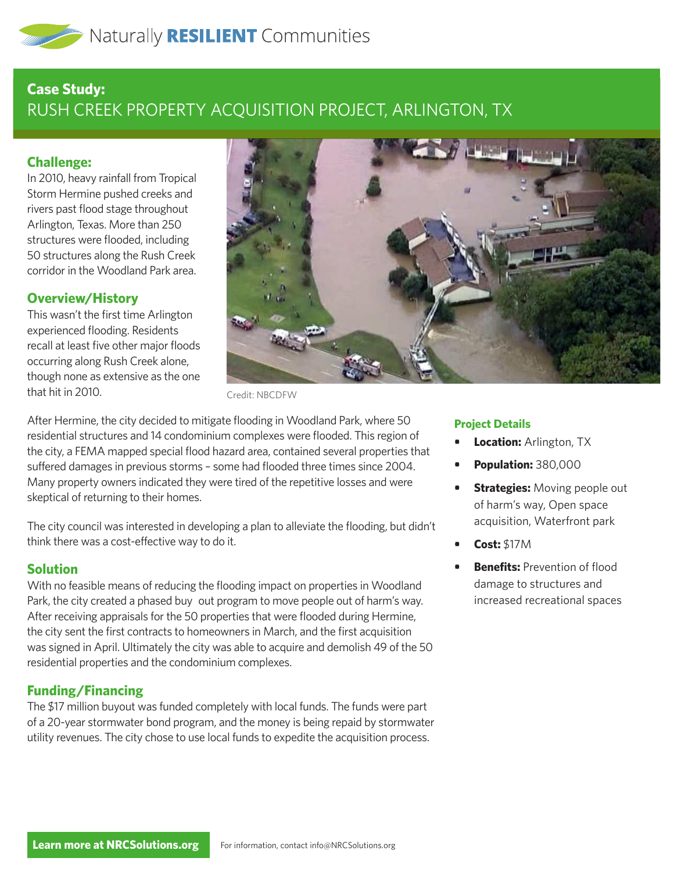# **Case Study:**  RUSH CREEK PROPERTY ACQUISITION PROJECT, ARLINGTON, TX

## **Challenge:**

In 2010, heavy rainfall from Tropical Storm Hermine pushed creeks and rivers past flood stage throughout Arlington, Texas. More than 250 structures were flooded, including 50 structures along the Rush Creek corridor in the Woodland Park area.

# **Overview/History**

This wasn't the first time Arlington experienced flooding. Residents recall at least five other major floods occurring along Rush Creek alone, though none as extensive as the one that hit in 2010.



Credit: NBCDFW

After Hermine, the city decided to mitigate flooding in Woodland Park, where 50 residential structures and 14 condominium complexes were flooded. This region of the city, a FEMA mapped special flood hazard area, contained several properties that suffered damages in previous storms – some had flooded three times since 2004. Many property owners indicated they were tired of the repetitive losses and were skeptical of returning to their homes.

The city council was interested in developing a plan to alleviate the flooding, but didn't think there was a cost-effective way to do it.

### **Solution**

With no feasible means of reducing the flooding impact on properties in Woodland Park, the city created a phased buy out program to move people out of harm's way. After receiving appraisals for the 50 properties that were flooded during Hermine, the city sent the first contracts to homeowners in March, and the first acquisition was signed in April. Ultimately the city was able to acquire and demolish 49 of the 50 residential properties and the condominium complexes.

### **Funding/Financing**

The \$17 million buyout was funded completely with local funds. The funds were part of a 20-year stormwater bond program, and the money is being repaid by stormwater utility revenues. The city chose to use local funds to expedite the acquisition process.

#### **Project Details**

- **• Location:** Arlington, TX
- **• Population:** 380,000
- **Strategies:** Moving people out of harm's way, Open space acquisition, Waterfront park
- **• Cost:** \$17M
- **Benefits:** Prevention of flood damage to structures and increased recreational spaces